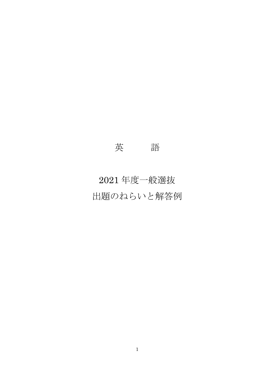## 英 語

# 2021 年度一般選抜 出題のねらいと解答例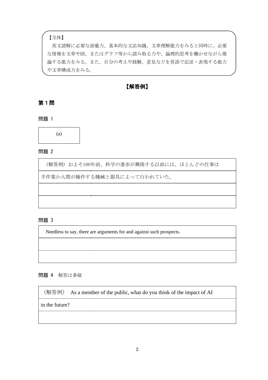【全体】

英文読解に必要な語彙力、基本的な文法知識、文章理解能力をみると同時に、必要 な情報を文章や図、またはグラフ等から読み取る力や、論理的思考を働かせながら推 論する能力をみる。また、自分の考えや経験、意見などを英語で記述・表現する能力 や文章構成力をみる。

【解答例】

第1問

問題 1



問題 2

(解答例) およそ100年前、科学の進歩が興隆する以前には、ほとんどの仕事は

手作業か人間が操作する機械と器具によって行われていた。

#### 問題 3

Needless to say, there are arguments for and against such prospects.

問題 4 解答は多様

(解答例) As a member of the public, what do you think of the impact of AI

in the future?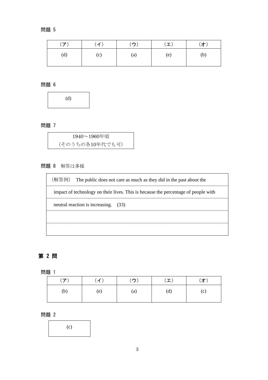#### 問題 5

| (ア) | (1) | (ウ) | $(\bot)$ | (才) |
|-----|-----|-----|----------|-----|
| (d) | (c) | (a) | (e)      | (b) |

問題 6

(d)

問題 7

| 1940~1960年頃     |  |
|-----------------|--|
| (そのうちの各10年代でも可) |  |

## 問題 8 解答は多様

(解答例) The public does not care as much as they did in the past about the impact of technology on their lives. This is because the percentage of people with neutral reaction is increasing. (33)

### 第 2 問

問題 1

| $(\mathcal{F})$ | (イ) | (ウ) | $(\bot)$ | (才) |
|-----------------|-----|-----|----------|-----|
| (b)             | (e) | (a) | (d)      | (c) |

#### 問題 2

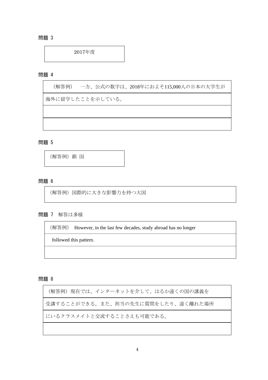問題 3

2017年度

問題 4

(解答例) 一方、公式の数字は、2018年におよそ115,000人の日本の大学生が

海外に留学したことを示している。

問題 5

(解答例)鎖 国

問題 6

(解答例)国際的に大きな影響力を持つ大国

問題 7 解答は多様

(解答例) However, in the last few decades, study abroad has no longer

followed this pattern.

問題 8

(解答例) 現在では、インターネットを介して、はるか遠くの国の講義を 受講することができる。また、担当の先生に質問をしたり、遠く離れた場所 にいるクラスメイトと交流することさえも可能である。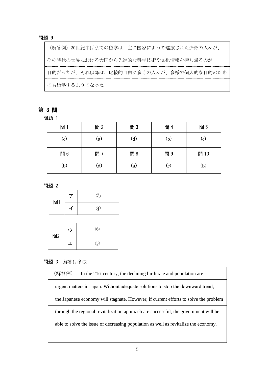#### 問題 9

(解答例)20世紀半ばまでの留学は、主に国家によって選抜された少数の人々が、 その時代の世界における大国から先進的な科学技術や文化情報を持ち帰るのが 目的だったが、それ以降は、比較的自由に多くの人々が、多様で個人的な目的のため にも留学するようになった。

#### 第 3 問

問題 1

| 問   | 問2           | 問3           | 問 4          | 問5   |
|-----|--------------|--------------|--------------|------|
| (c) | (a)          | $\rm _{(d)}$ | (b)          | (c)  |
| 問6  | 問 7          | 問8           | 問9           | 問 10 |
| (b) | $\rm _{(d)}$ | (a)          | $\rm _{(c)}$ | (b)  |

問題 2



| 問2 |   |   |
|----|---|---|
|    | ェ | 5 |

#### 問題 3 解答は多様

(解答例) In the 21st century, the declining birth rate and population are urgent matters in Japan. Without adequate solutions to stop the downward trend, the Japanese economy will stagnate. However, if current efforts to solve the problem through the regional revitalization approach are successful, the government will be able to solve the issue of decreasing population as well as revitalize the economy.